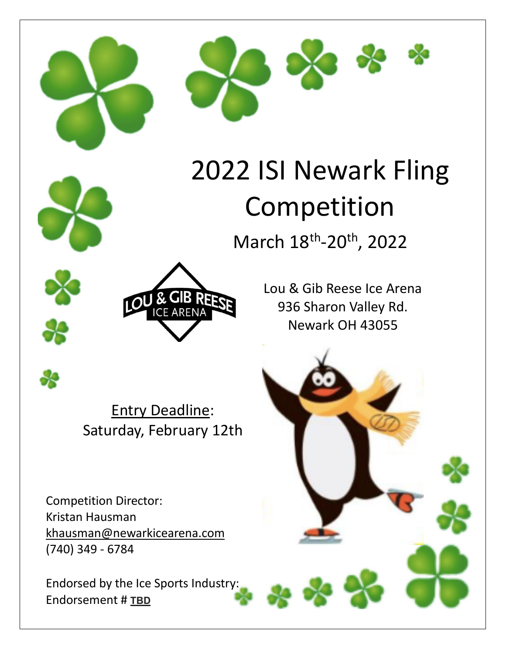



# 2022 ISI Newark Fling Competition

March 18<sup>th</sup>-20<sup>th</sup>, 2022





Entry Deadline: Saturday, February 12th

Competition Director: Kristan Hausman khausman@newarkicearena.com (740) 349 - 6784

Endorsed by the Ice Sports Industry: Endorsement # **TBD**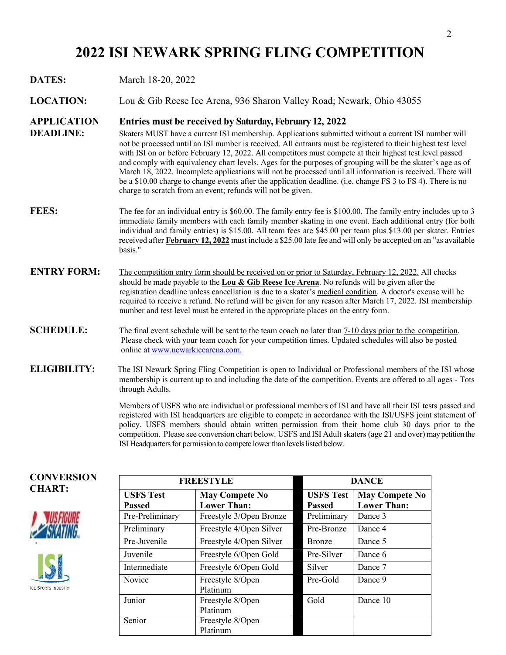## **2022 ISI NEWARK SPRING FLING COMPETITION**

#### **DATES:** March 18-20, 2022

**LOCATION:** Lou & Gib Reese Ice Arena, 936 Sharon Valley Road; Newark, Ohio 43055

#### **APPLICATION Entries must be received by Saturday,February 12, 2022**

- **DEADLINE:** Skaters MUST have a current ISI membership. Applications submitted without a current ISI number will not be processed until an ISI number is received. All entrants must be registered to their highest test level with ISI on or before February 12, 2022. All competitors must compete at their highest test level passed and comply with equivalency chart levels. Ages for the purposes of grouping will be the skater's age as of March 18, 2022. Incomplete applications will not be processed until all information is received. There will be a \$10.00 charge to change events after the application deadline. (i.e. change FS 3 to FS 4). There is no charge to scratch from an event; refunds will not be given.
- **FEES:** The fee for an individual entry is \$60.00. The family entry fee is \$100.00. The family entry includes up to 3 immediate family members with each family member skating in one event. Each additional entry (for both individual and family entries) is \$15.00. All team fees are \$45.00 per team plus \$13.00 per skater. Entries received after **February 12, 2022** must include a \$25.00 late fee and will only be accepted on an "as available basis."
- **ENTRY FORM:** The competition entry form should be received on or prior to Saturday, February 12, 2022. All checks should be made payable to the **Lou & Gib Reese Ice Arena**. No refunds will be given after the registration deadline unless cancellation is due to a skater's medical condition. A doctor's excuse will be required to receive a refund. No refund will be given for any reason after March 17, 2022. ISI membership number and test level must be entered in the appropriate places on the entry form.
- **SCHEDULE:** The final event schedule will be sent to the team coach no later than 7-10 days prior to the competition. Please check with your team coach for your competition times. Updated schedules will also be posted online at www.newarkicearena.com.
- **ELIGIBILITY:** The ISI Newark Spring Fling Competition is open to Individual or Professional members of the ISI whose membership is current up to and including the date of the competition. Events are offered to all ages - Tots through Adults.

Members of USFS who are individual or professional members of ISI and have all their ISI tests passed and registered with ISI headquarters are eligible to compete in accordance with the ISI/USFS joint statement of policy. USFS members should obtain written permission from their home club 30 days prior to the competition. Please see conversion chart below. USFS and ISI Adult skaters (age 21 and over) may petition the ISI Headquarters for permission to compete lower than levels listed below.



**CONVERSION** 





| <b>FREESTYLE</b>                  |                                             | <b>DANCE</b>                      |                                             |
|-----------------------------------|---------------------------------------------|-----------------------------------|---------------------------------------------|
| <b>USFS Test</b><br><b>Passed</b> | <b>May Compete No</b><br><b>Lower Than:</b> | <b>USFS</b> Test<br><b>Passed</b> | <b>May Compete No</b><br><b>Lower Than:</b> |
| Pre-Preliminary                   | Freestyle 3/Open Bronze                     | Preliminary                       | Dance 3                                     |
| Preliminary                       | Freestyle 4/Open Silver                     | Pre-Bronze                        | Dance 4                                     |
| Pre-Juvenile                      | Freestyle 4/Open Silver                     | <b>Bronze</b>                     | Dance 5                                     |
| Juvenile                          | Freestyle 6/Open Gold                       | Pre-Silver                        | Dance 6                                     |
| Intermediate                      | Freestyle 6/Open Gold                       | Silver                            | Dance 7                                     |
| <b>Novice</b>                     | Freestyle 8/Open<br>Platinum                | Pre-Gold                          | Dance 9                                     |
| Junior                            | Freestyle 8/Open<br>Platinum                | Gold                              | Dance 10                                    |
| Senior                            | Freestyle 8/Open<br>Platinum                |                                   |                                             |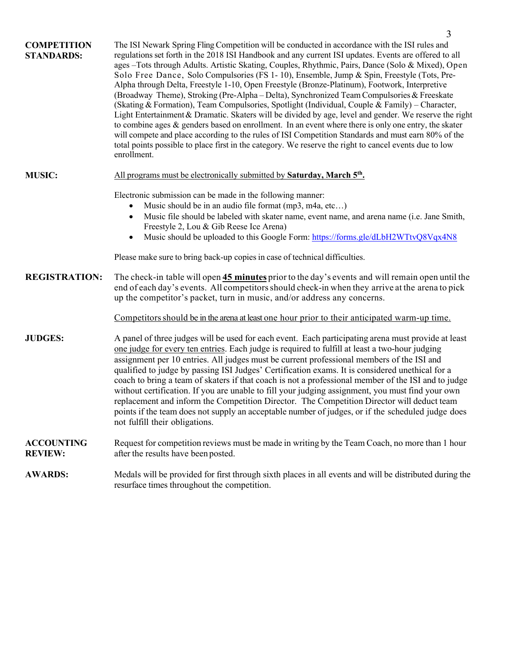|                                         | 3                                                                                                                                                                                                                                                                                                                                                                                                                                                                                                                                                                                                                                                                                                                                                                                                                                                                                                                                                                                                                                                                                                                                                               |
|-----------------------------------------|-----------------------------------------------------------------------------------------------------------------------------------------------------------------------------------------------------------------------------------------------------------------------------------------------------------------------------------------------------------------------------------------------------------------------------------------------------------------------------------------------------------------------------------------------------------------------------------------------------------------------------------------------------------------------------------------------------------------------------------------------------------------------------------------------------------------------------------------------------------------------------------------------------------------------------------------------------------------------------------------------------------------------------------------------------------------------------------------------------------------------------------------------------------------|
| <b>COMPETITION</b><br><b>STANDARDS:</b> | The ISI Newark Spring Fling Competition will be conducted in accordance with the ISI rules and<br>regulations set forth in the 2018 ISI Handbook and any current ISI updates. Events are offered to all<br>ages-Tots through Adults. Artistic Skating, Couples, Rhythmic, Pairs, Dance (Solo & Mixed), Open<br>Solo Free Dance, Solo Compulsories (FS 1-10), Ensemble, Jump & Spin, Freestyle (Tots, Pre-<br>Alpha through Delta, Freestyle 1-10, Open Freestyle (Bronze-Platinum), Footwork, Interpretive<br>(Broadway Theme), Stroking (Pre-Alpha – Delta), Synchronized Team Compulsories & Freeskate<br>(Skating & Formation), Team Compulsories, Spotlight (Individual, Couple & Family) – Character,<br>Light Entertainment & Dramatic. Skaters will be divided by age, level and gender. We reserve the right<br>to combine ages $\&$ genders based on enrollment. In an event where there is only one entry, the skater<br>will compete and place according to the rules of ISI Competition Standards and must earn 80% of the<br>total points possible to place first in the category. We reserve the right to cancel events due to low<br>enrollment. |
| <b>MUSIC:</b>                           | All programs must be electronically submitted by Saturday, March 5 <sup>th</sup> .                                                                                                                                                                                                                                                                                                                                                                                                                                                                                                                                                                                                                                                                                                                                                                                                                                                                                                                                                                                                                                                                              |
|                                         | Electronic submission can be made in the following manner:<br>Music should be in an audio file format (mp3, m4a, etc)<br>Music file should be labeled with skater name, event name, and arena name (i.e. Jane Smith,<br>Freestyle 2, Lou & Gib Reese Ice Arena)<br>Music should be uploaded to this Google Form: https://forms.gle/dLbH2WTtvQ8Vqx4N8<br>$\bullet$<br>Please make sure to bring back-up copies in case of technical difficulties.                                                                                                                                                                                                                                                                                                                                                                                                                                                                                                                                                                                                                                                                                                                |
| <b>REGISTRATION:</b>                    | The check-in table will open 45 minutes prior to the day's events and will remain open until the<br>end of each day's events. All competitors should check-in when they arrive at the arena to pick<br>up the competitor's packet, turn in music, and/or address any concerns.                                                                                                                                                                                                                                                                                                                                                                                                                                                                                                                                                                                                                                                                                                                                                                                                                                                                                  |
|                                         | Competitors should be in the arena at least one hour prior to their anticipated warm-up time.                                                                                                                                                                                                                                                                                                                                                                                                                                                                                                                                                                                                                                                                                                                                                                                                                                                                                                                                                                                                                                                                   |
| <b>JUDGES:</b>                          | A panel of three judges will be used for each event. Each participating arena must provide at least<br>one judge for every ten entries. Each judge is required to fulfill at least a two-hour judging<br>assignment per 10 entries. All judges must be current professional members of the ISI and<br>qualified to judge by passing ISI Judges' Certification exams. It is considered unethical for a<br>coach to bring a team of skaters if that coach is not a professional member of the ISI and to judge<br>without certification. If you are unable to fill your judging assignment, you must find your own<br>replacement and inform the Competition Director. The Competition Director will deduct team<br>points if the team does not supply an acceptable number of judges, or if the scheduled judge does<br>not fulfill their obligations.                                                                                                                                                                                                                                                                                                           |
| <b>ACCOUNTING</b><br><b>REVIEW:</b>     | Request for competition reviews must be made in writing by the Team Coach, no more than 1 hour<br>after the results have been posted.                                                                                                                                                                                                                                                                                                                                                                                                                                                                                                                                                                                                                                                                                                                                                                                                                                                                                                                                                                                                                           |
| <b>AWARDS:</b>                          | Medals will be provided for first through sixth places in all events and will be distributed during the<br>resurface times throughout the competition.                                                                                                                                                                                                                                                                                                                                                                                                                                                                                                                                                                                                                                                                                                                                                                                                                                                                                                                                                                                                          |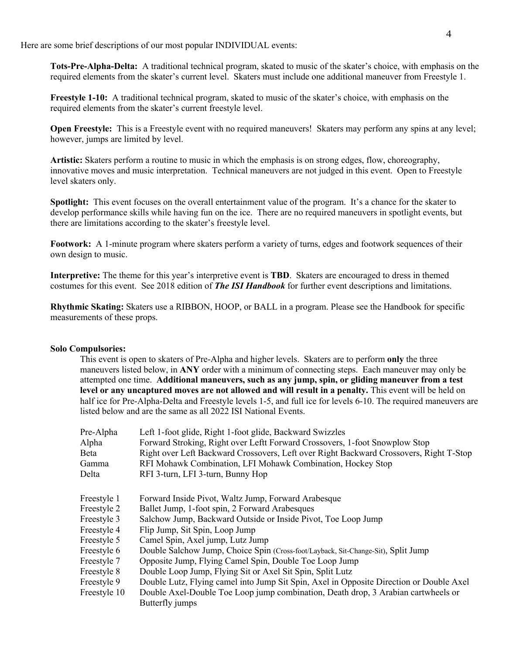Here are some brief descriptions of our most popular INDIVIDUAL events:

**Tots-Pre-Alpha-Delta:** A traditional technical program, skated to music of the skater's choice, with emphasis on the required elements from the skater's current level. Skaters must include one additional maneuver from Freestyle 1.

**Freestyle 1-10:** A traditional technical program, skated to music of the skater's choice, with emphasis on the required elements from the skater's current freestyle level.

**Open Freestyle:** This is a Freestyle event with no required maneuvers! Skaters may perform any spins at any level; however, jumps are limited by level.

**Artistic:** Skaters perform a routine to music in which the emphasis is on strong edges, flow, choreography, innovative moves and music interpretation. Technical maneuvers are not judged in this event. Open to Freestyle level skaters only.

**Spotlight:** This event focuses on the overall entertainment value of the program. It's a chance for the skater to develop performance skills while having fun on the ice. There are no required maneuvers in spotlight events, but there are limitations according to the skater's freestyle level.

**Footwork:** A 1-minute program where skaters perform a variety of turns, edges and footwork sequences of their own design to music.

**Interpretive:** The theme for this year's interpretive event is **TBD**. Skaters are encouraged to dress in themed costumes for this event. See 2018 edition of *The ISI Handbook* for further event descriptions and limitations.

**Rhythmic Skating:** Skaters use a RIBBON, HOOP, or BALL in a program. Please see the Handbook for specific measurements of these props.

#### **Solo Compulsories:**

This event is open to skaters of Pre-Alpha and higher levels. Skaters are to perform **only** the three maneuvers listed below, in **ANY** order with a minimum of connecting steps. Each maneuver may only be attempted one time. **Additional maneuvers, such as any jump, spin, or gliding maneuver from a test level or any uncaptured moves are not allowed and will result in a penalty.** This event will be held on half ice for Pre-Alpha-Delta and Freestyle levels 1-5, and full ice for levels 6-10. The required maneuvers are listed below and are the same as all 2022 ISI National Events.

| Pre-Alpha    | Left 1-foot glide, Right 1-foot glide, Backward Swizzles                                |
|--------------|-----------------------------------------------------------------------------------------|
| Alpha        | Forward Stroking, Right over Leftt Forward Crossovers, 1-foot Snowplow Stop             |
| Beta         | Right over Left Backward Crossovers, Left over Right Backward Crossovers, Right T-Stop  |
| Gamma        | RFI Mohawk Combination, LFI Mohawk Combination, Hockey Stop                             |
| Delta        | RFI 3-turn, LFI 3-turn, Bunny Hop                                                       |
| Freestyle 1  | Forward Inside Pivot, Waltz Jump, Forward Arabesque                                     |
| Freestyle 2  | Ballet Jump, 1-foot spin, 2 Forward Arabesques                                          |
| Freestyle 3  | Salchow Jump, Backward Outside or Inside Pivot, Toe Loop Jump                           |
| Freestyle 4  | Flip Jump, Sit Spin, Loop Jump                                                          |
| Freestyle 5  | Camel Spin, Axel jump, Lutz Jump                                                        |
| Freestyle 6  | Double Salchow Jump, Choice Spin (Cross-foot/Layback, Sit-Change-Sit), Split Jump       |
| Freestyle 7  | Opposite Jump, Flying Camel Spin, Double Toe Loop Jump                                  |
| Freestyle 8  | Double Loop Jump, Flying Sit or Axel Sit Spin, Split Lutz                               |
| Freestyle 9  | Double Lutz, Flying camel into Jump Sit Spin, Axel in Opposite Direction or Double Axel |
| Freestyle 10 | Double Axel-Double Toe Loop jump combination, Death drop, 3 Arabian cartwheels or       |
|              | Butterfly jumps                                                                         |